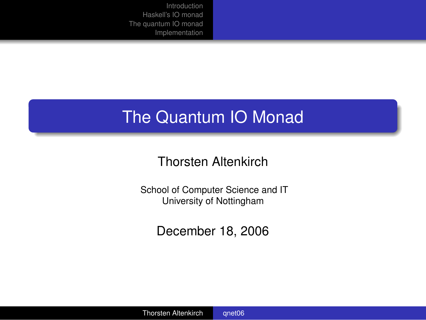# <span id="page-0-0"></span>The Quantum IO Monad

### Thorsten Altenkirch

School of Computer Science and IT University of Nottingham

<span id="page-0-1"></span>December 18, 2006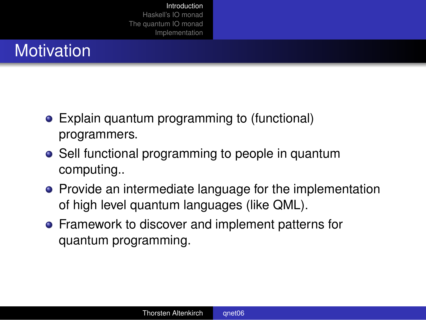# **Motivation**

- Explain quantum programming to (functional) programmers.
- Sell functional programming to people in quantum computing..
- **•** Provide an intermediate language for the implementation of high level quantum languages (like QML).
- <span id="page-1-0"></span>Framework to discover and implement patterns for quantum programming.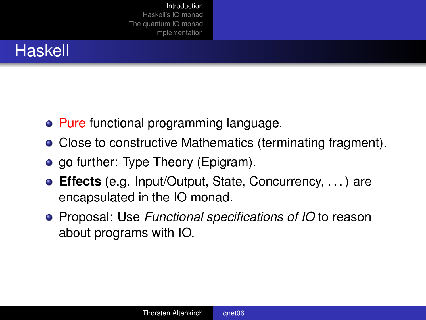# Haskell

- Pure functional programming language.
- Close to constructive Mathematics (terminating fragment).
- go further: Type Theory (Epigram).
- **Effects** (e.g. Input/Output, State, Concurrency, . . . ) are encapsulated in the IO monad.
- Proposal: Use *Functional specifications of IO* to reason about programs with IO.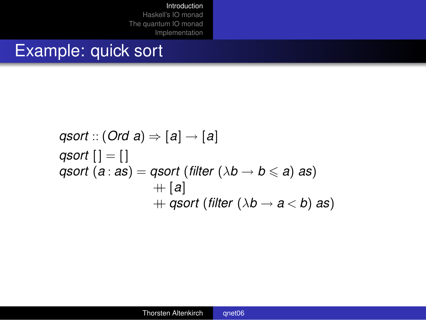## Example: quick sort

\n
$$
\text{qsort} :: (\text{Ord } a) \Rightarrow [a] \rightarrow [a]
$$
\n

\n\n $\text{qsort} [] = []$ \n

\n\n $\text{qsort} (a : as) = \text{qsort} (\text{filter} (\lambda b \rightarrow b \leq a) \text{ as}) + [a] + \text{qsort} (\text{filter} (\lambda b \rightarrow a < b) \text{ as})$ \n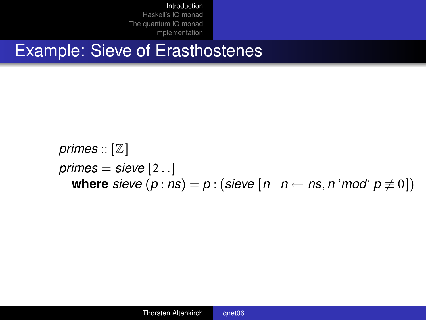### Example: Sieve of Erasthostenes

*primes* :: [Z] *primes* = *sieve* [2 . .] **where** *sieve*  $(p : ns) = p : (size \mid n \mid n \leftarrow ns, n' \mid mod' \mid p \neq 0])$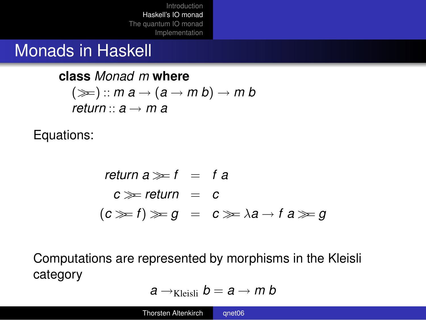### Monads in Haskell

**class** *Monad m* **where**  $(\ggg)$ :: *m*  $a \rightarrow (a \rightarrow m b) \rightarrow m b$ *return*  $\cdot \cdot a \rightarrow m$  *a* 

Equations:

$$
return a \gg f = fa
$$
  

$$
c \gg return = c
$$
  

$$
(c \gg f) \gg g = c \gg \lambda a \rightarrow f a \gg g
$$

Computations are represented by morphisms in the Kleisli category

$$
a\rightarrow_{\text{Kleisli}}b=a\rightarrow m b
$$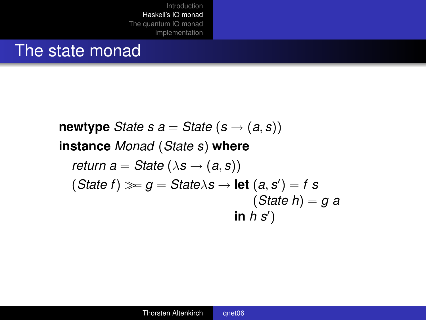### The state monad

**newtype** *State s*  $a =$  *State*  $(s \rightarrow (a, s))$ **instance** *Monad* (*State s*) **where** *return a* = *State* ( $\lambda$ *s*  $\rightarrow$  (*a*, *s*))  $(State f) \ggg g = State \lambda s \rightarrow let (a, s') = f s$ (*State h*) = *g a*  $\mathsf{in} \; h \; s'$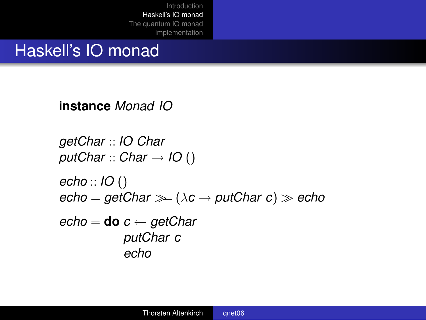### Haskell's IO monad

**instance** *Monad IO*

*getChar* :: *IO Char putChar* :: *Char* → *IO* () *echo* :: *IO* ()  $echo = getChar \gg (\lambda c \rightarrow putChar c) \gg echo$ *echo* = **do** *c* ← *getChar putChar c*

*echo*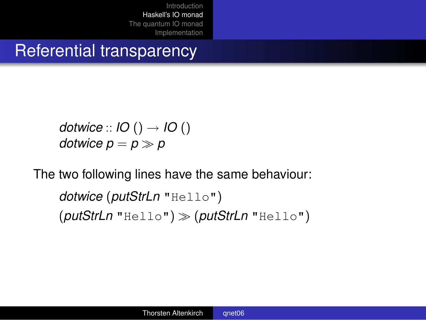### Referential transparency

*dotwice* :: *IO* () → *IO* () *dotwice*  $p = p \gg p$ 

The two following lines have the same behaviour:

*dotwice* (*putStrLn* "Hello") (*putStrLn* "Hello") >> (*putStrLn* "Hello")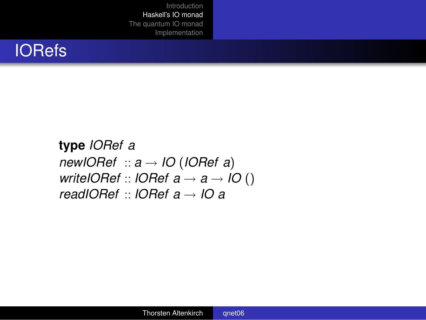# IORefs

**type** *IORef a newIORef* :: *a* → *IO* (*IORef a*) *writeIORef* :: *IORef*  $a \rightarrow a \rightarrow$  *IO* () *readIORef* :: *IORef a* → *IO a*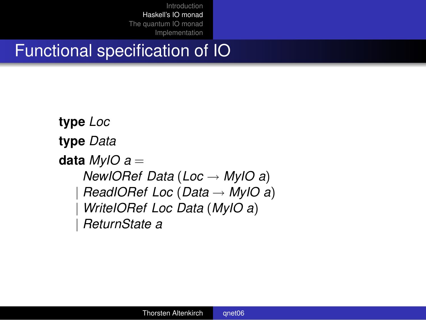# Functional specification of IO

**type** *Loc* **type** *Data* **data** *MyIO a* = *NewIORef Data* (*Loc* → *MyIO a*) | *ReadIORef Loc* (*Data* → *MyIO a*) | *WriteIORef Loc Data* (*MyIO a*) | *ReturnState a*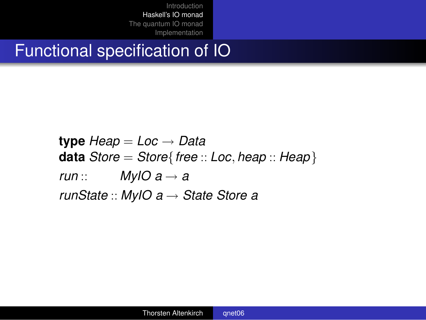# Functional specification of IO

**type** *Heap* = *Loc* → *Data* **data** *Store* = *Store*{*free* :: *Loc*, *heap* :: *Heap*} *run* :: *MyIO*  $a \rightarrow a$ *runState* :: *MyIO a* → *State Store a*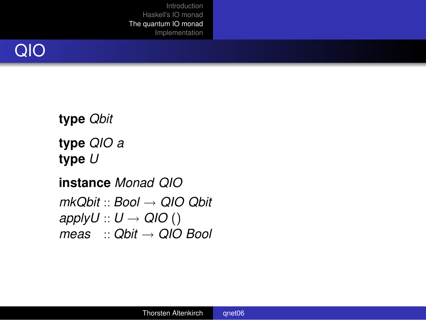

**type** *Qbit* **type** *QIO a* **type** *U*

<span id="page-12-0"></span>**instance** *Monad QIO mkQbit* :: *Bool* → *QIO Qbit applyU* ::  $U \rightarrow QIO$  () *meas* :: *Qbit* → *QIO Bool*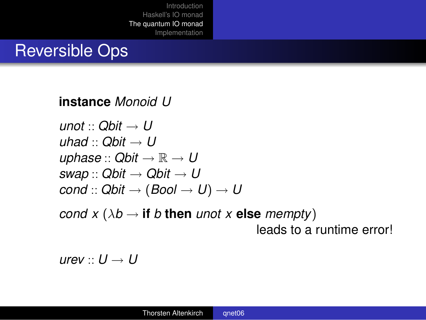### Reversible Ops

#### **instance** *Monoid U*

$$
unot :: Qbit → U
$$
  
uhad :: Qbit → U  
uphase :: Qbit → ℝ → U  
swap :: Qbit → Qbit → U  
cond :: Qbit → (Bool → U) → U

*cond x* ( $\lambda b \rightarrow$  *if b* then *unot x* else *mempty*) leads to a runtime error!

 $urev: U \rightarrow U$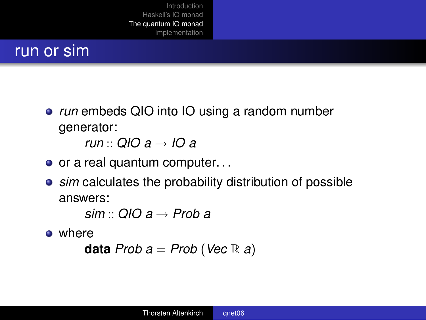### run or sim

*run* embeds QIO into IO using a random number generator:

*run* :: *QIO a* → *IO a*

- $\bullet$  or a real quantum computer...
- *sim* calculates the probability distribution of possible answers:

*sim* :: *QIO a* → *Prob a*

• where

**data**  $Prob a = Prob (Vec \mathbb{R} a)$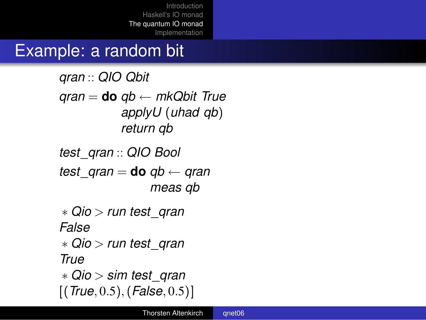# Example: a random bit

*qran* :: *QIO Qbit qran* = **do** *qb* ← *mkQbit True applyU* (*uhad qb*) *return qb*

*test*\_*qran* :: *QIO Bool test*  $qran =$  **do**  $qb \leftarrow qran$ *meas qb* ∗ *Qio* > *run test*\_*qran False* ∗ *Qio* > *run test*\_*qran*

*True*

∗ *Qio* > *sim test*\_*qran* [(*True*, 0.5),(*False*, 0.5)]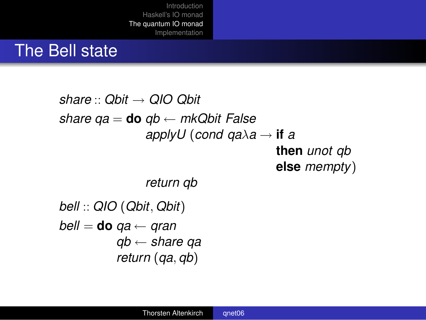### The Bell state

### *share* :: *Qbit* → *QIO Qbit share qa* = **do** *qb* ← *mkQbit False applyU* (*cond qa*λ*a* → **if** *a* **then** *unot qb* **else** *mempty*) *return qb*

```
bell :: QIO (Qbit, Qbit)
bell = do qa ← qran
          qb ← share qa
          return (qa, qb)
```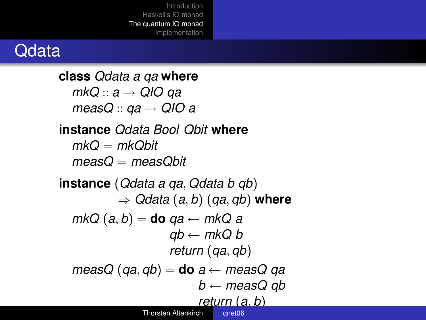### **Qdata**

**class** *Qdata a qa* **where** *mkQ* :: *a* → *QIO qa measQ* :: *qa* → *QIO a* **instance** *Qdata Bool Qbit* **where**  $mkQ = mkQ$ *hit measQ* = *measQbit* **instance** (*Qdata a qa*, *Qdata b qb*) ⇒ *Qdata* (*a*, *b*) (*qa*, *qb*) **where** *mkQ* (*a*, *b*) = **do** *qa* ← *mkQ a*  $ab \leftarrow m kQ b$ *return* (*qa*, *qb*) *measQ* (*qa*, *qb*) = **do** *a* ← *measQ qa b* ← *measQ qb return* (*a*, *b*) Thorsten Altenkirch [qnet06](#page-0-1)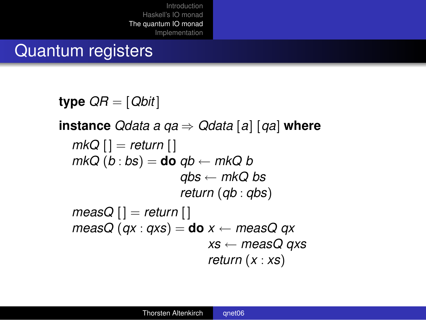### Quantum registers

**type** *QR* = [*Qbit* ] **instance** *Qdata a qa* ⇒ *Qdata* [*a*] [*qa*] **where** *mkQ*  $\vert \vert$  = *return*  $\vert \vert$  $mkQ(b:bs) =$ **do**  $qb \leftarrow mkQb$ *qbs* ← *mkQ bs return* (*qb* : *qbs*)  $measQ$   $|$  = *return*  $|$ *measQ* (*qx* : *qxs*) = **do**  $x \leftarrow$  *measQ qx xs* ← *measQ qxs return* (*x* : *xs*)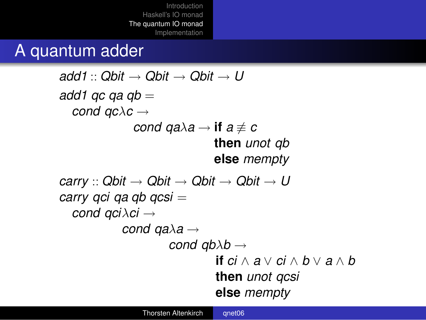### A quantum adder

```
add1: Qbit \rightarrow Qbit \rightarrow Qbit \rightarrow U
add1 qc qa qb =
  cond qcλc →
              cond qa\lambdaa \rightarrow if a \not\equiv cthen unot qb
                              else mempty
carry :: Qbit → Qbit → Qbit → Qbit → U
carry qci qa qb qcsi =
  cond qciλci →
            cond qaλa →
                     cond qbλb →
                               if ci ∧ a ∨ ci ∧ b ∨ a ∧ b
                               then unot qcsi
                               else mempty
```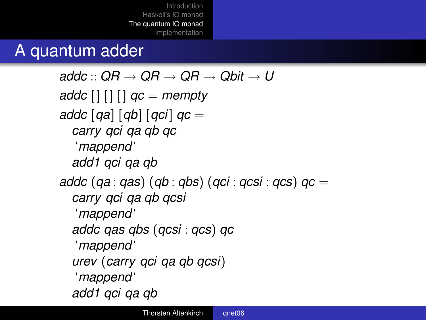# A quantum adder

```
\partial^2 B \to \partial^2 B \to \partial^2 B \to \partial^2 B \to \partial^2 Baddc [ ] [ ] [ ] qc = mempty
addc [qa] [qb] [qci ] qc =
  carry qci qa qb qc
   'mappend'
  add1 qci qa qb
addc (qa : qas) (qb : qbs) (qci : qcsi : qcs) qc =
  carry qci qa qb qcsi
   'mappend'
  addc qas qbs (qcsi : qcs) qc
   'mappend'
  urev (carry qci qa qb qcsi)
   'mappend'
  add1 qci qa qb
```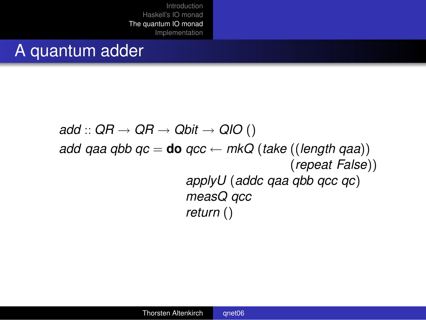### A quantum adder

*add* :: *QR* → *QR* → *Qbit* → *QIO* () *add qaa qbb qc* = **do** *qcc*  $\leftarrow$  *mkQ* (*take* ((*length qaa*)) (*repeat False*)) *applyU* (*addc qaa qbb qcc qc*) *measQ qcc return* ()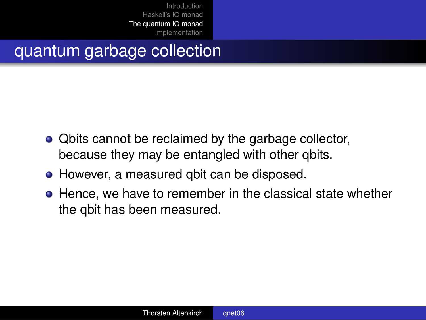# quantum garbage collection

- Qbits cannot be reclaimed by the garbage collector, because they may be entangled with other qbits.
- However, a measured qbit can be disposed.
- **•** Hence, we have to remember in the classical state whether the qbit has been measured.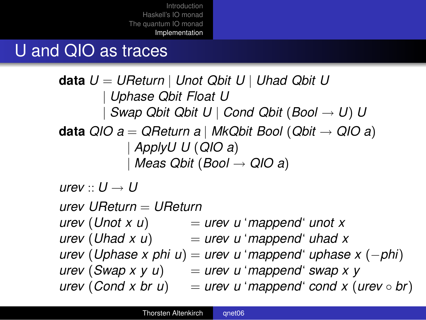### U and QIO as traces

```
data U = UReturn | Unot Qbit U | Uhad Qbit U
        | Uphase Qbit Float U
        | Swap Qbit Qbit U | Cond Qbit (Bool → U) U
data QIO a = QReturn a | MkQbit Bool (Qbit → QIO a)
           | ApplyU U (QIO a)
            | Meas Qbit (Bool → QIO a)
urev : U \rightarrow Uurev UReturn = UReturn
urev (Unot x u) = urev u 'mappend' unot x
urev (Uhad x u) = urev u 'mappend' uhad x
urev (Uphase x phi u) = urev u 'mappend' uphase x (−phi)
urev (Swap x y u) = urev u 'mappend' swap x y
```

```
\murev (Cond x br u) = urev u 'mappend' cond x (urev \circ br)
```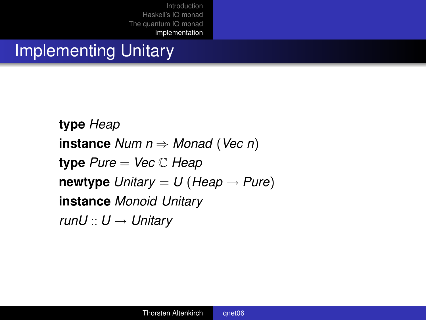# Implementing Unitary

**type** *Heap* **instance** *Num n* ⇒ *Monad* (*Vec n*) **type** *Pure* = *Vec* C *Heap* **newtype**  $Unitary = U$  (*Heap*  $\rightarrow$  *Pure*) **instance** *Monoid Unitary runU* :: *U* → *Unitary*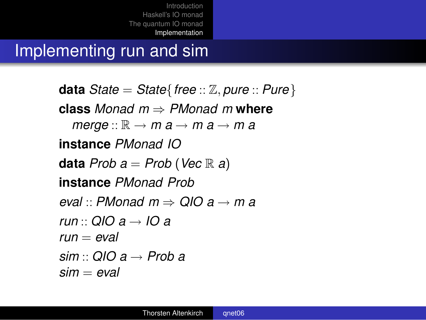Implementing run and sim

**data** *State* = *State*{*free* :: Z, *pure* :: *Pure*} **class** *Monad m* ⇒ *PMonad m* **where**  $m$ *erge* ::  $\mathbb{R} \to m$  *a*  $\to$  *m a*  $\to$  *m a* **instance** *PMonad IO* **data** *Prob*  $a = Prob$  (*Vec*  $\mathbb R$  *a*) **instance** *PMonad Prob eval* :: *PMonad m* ⇒ *QIO a* → *m a run* :: *QIO a* → *IO a run* = *eval sim* :: *QIO a* → *Prob a sim* = *eval*